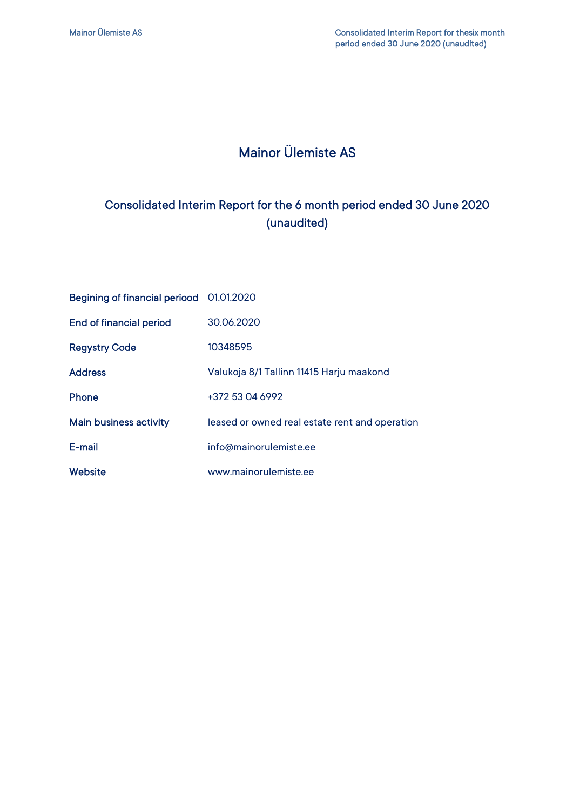# Mainor Ülemiste AS

## Consolidated Interim Report for the 6 month period ended 30 June 2020 (unaudited)

| Begining of financial periood 01.01.2020 |                                                |
|------------------------------------------|------------------------------------------------|
| <b>End of financial period</b>           | 30.06.2020                                     |
| <b>Regystry Code</b>                     | 10348595                                       |
| <b>Address</b>                           | Valukoja 8/1 Tallinn 11415 Harju maakond       |
| <b>Phone</b>                             | +372 53 04 6992                                |
| <b>Main business activity</b>            | leased or owned real estate rent and operation |
| E-mail                                   | info@mainorulemiste.ee                         |
| <b>Website</b>                           | www.mainorulemiste.ee                          |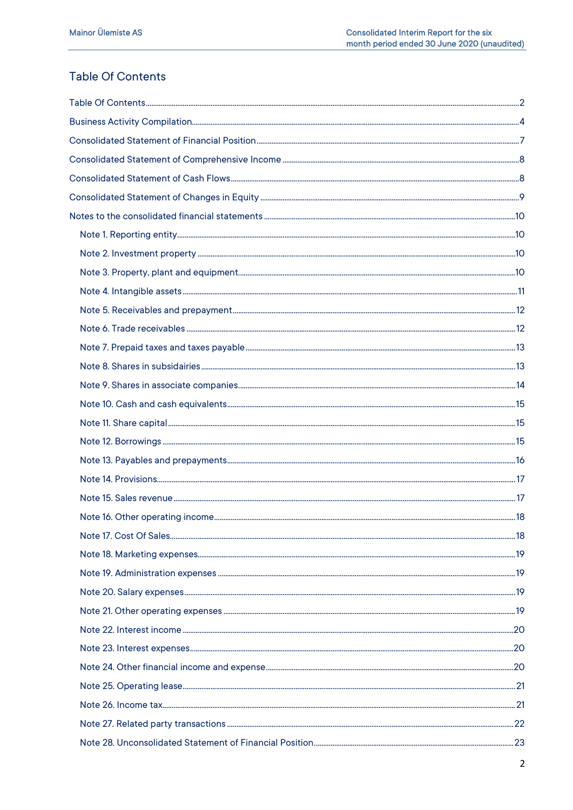## **Table Of Contents**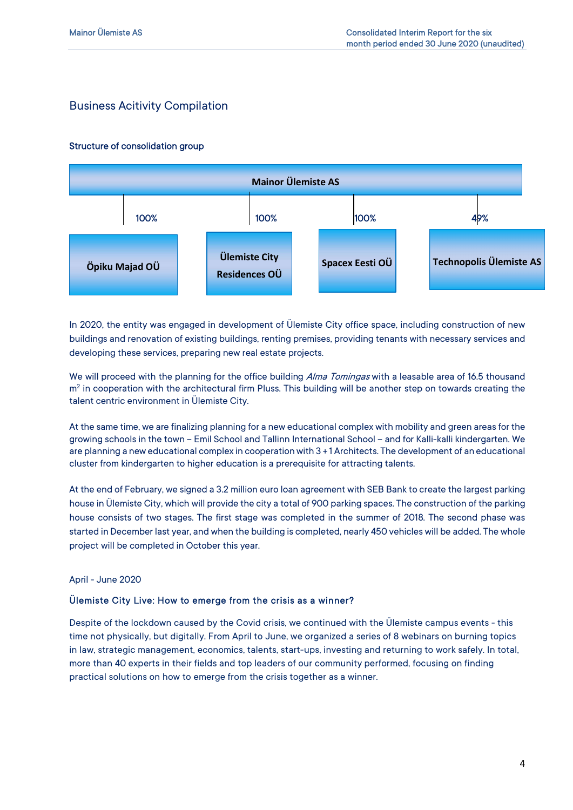## Business Acitivity Compilation

#### Structure of consolidation group



In 2020, the entity was engaged in development of Ülemiste City office space, including construction of new buildings and renovation of existing buildings, renting premises, providing tenants with necessary services and developing these services, preparing new real estate projects.

We will proceed with the planning for the office building Alma Tomingas with a leasable area of 16.5 thousand  $m<sup>2</sup>$  in cooperation with the architectural firm Pluss. This building will be another step on towards creating the talent centric environment in Ülemiste City.

At the same time, we are finalizing planning for a new educational complex with mobility and green areas for the growing schools in the town – Emil School and Tallinn International School – and for Kalli-kalli kindergarten. We are planning a new educational complex in cooperation with 3 + 1 Architects. The development of an educational cluster from kindergarten to higher education is a prerequisite for attracting talents.

At the end of February, we signed a 3.2 million euro loan agreement with SEB Bank to create the largest parking house in Ülemiste City, which will provide the city a total of 900 parking spaces. The construction of the parking house consists of two stages. The first stage was completed in the summer of 2018. The second phase was started in December last year, and when the building is completed, nearly 450 vehicles will be added. The whole project will be completed in October this year.

#### April - June 2020

#### Ülemiste City Live: How to emerge from the crisis as a winner?

Despite of the lockdown caused by the Covid crisis, we continued with the Ülemiste campus events - this time not physically, but digitally. From April to June, we organized a series of 8 webinars on burning topics in law, strategic management, economics, talents, start-ups, investing and returning to work safely. In total, more than 40 experts in their fields and top leaders of our community performed, focusing on finding practical solutions on how to emerge from the crisis together as a winner.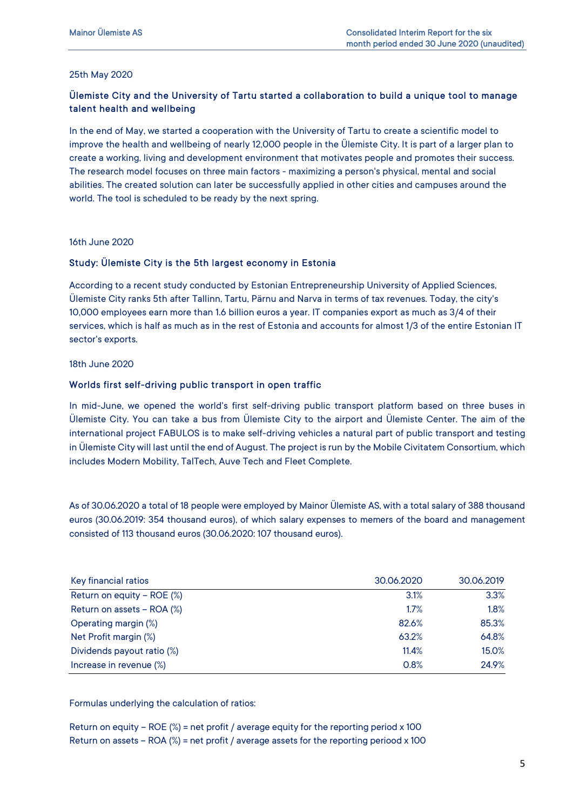#### 25th May 2020

### Ülemiste City and the University of Tartu started a collaboration to build a unique tool to manage talent health and wellbeing

In the end of May, we started a cooperation with the University of Tartu to create a scientific model to improve the health and wellbeing of nearly 12,000 people in the Ülemiste City. It is part of a larger plan to create a working, living and development environment that motivates people and promotes their success. The research model focuses on three main factors - maximizing a person's physical, mental and social abilities. The created solution can later be successfully applied in other cities and campuses around the world. The tool is scheduled to be ready by the next spring.

16th June 2020

#### Study: Ülemiste City is the 5th largest economy in Estonia

According to a recent study conducted by Estonian Entrepreneurship University of Applied Sciences, Ülemiste City ranks 5th after Tallinn, Tartu, Pärnu and Narva in terms of tax revenues. Today, the city's 10,000 employees earn more than 1.6 billion euros a year. IT companies export as much as 3/4 of their services, which is half as much as in the rest of Estonia and accounts for almost 1/3 of the entire Estonian IT sector's exports.

#### 18th June 2020

#### Worlds first self-driving public transport in open traffic

In mid-June, we opened the world's first self-driving public transport platform based on three buses in Ülemiste City. You can take a bus from Ülemiste City to the airport and Ülemiste Center. The aim of the international project FABULOS is to make self-driving vehicles a natural part of public transport and testing in Ülemiste City will last until the end of August. The project is run by the Mobile Civitatem Consortium, which includes Modern Mobility, TalTech, Auve Tech and Fleet Complete.

As of 30.06.2020 a total of 18 people were employed by Mainor Ülemiste AS, with a total salary of 388 thousand euros (30.06.2019: 354 thousand euros), of which salary expenses to memers of the board and management consisted of 113 thousand euros (30.06.2020: 107 thousand euros).

| Key financial ratios       | 30.06.2020 | 30.06.2019 |
|----------------------------|------------|------------|
| Return on equity - ROE (%) | 3.1%       | 3.3%       |
| Return on assets - ROA (%) | 1.7%       | 1.8%       |
| Operating margin (%)       | 82.6%      | 85.3%      |
| Net Profit margin (%)      | 63.2%      | 64.8%      |
| Dividends payout ratio (%) | 11.4%      | 15.0%      |
| Increase in revenue (%)    | 0.8%       | 24.9%      |

Formulas underlying the calculation of ratios:

Return on equity – ROE  $\%$  = net profit / average equity for the reporting period x 100 Return on assets – ROA  $\%$  = net profit / average assets for the reporting periood x 100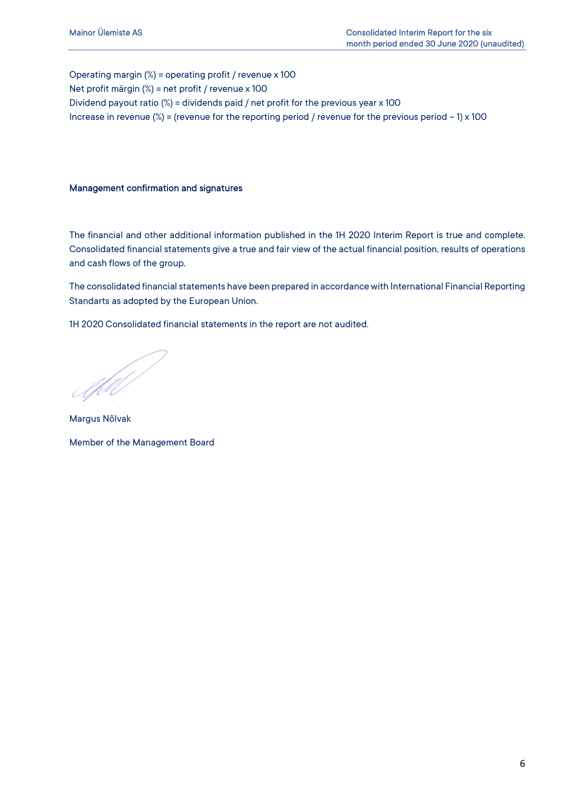Operating margin (%) = operating profit / revenue x 100 Net profit märgin (%) = net profit / revenue x 100 Dividend payout ratio (%) = dividends paid / net profit for the previous year x 100 Increase in revenue  $(\%)$  = (revenue for the reporting period / revenue for the previous period - 1) x 100

#### Management confirmation and signatures

The financial and other additional information published in the 1H 2020 Interim Report is true and complete. Consolidated financial statements give a true and fair view of the actual financial position, results of operations and cash flows of the group.

The consolidated financial statements have been prepared in accordance with International Financial Reporting Standarts as adopted by the European Union.

1H 2020 Consolidated financial statements in the report are not audited.

Af del

Margus Nõlvak Member of the Management Board

6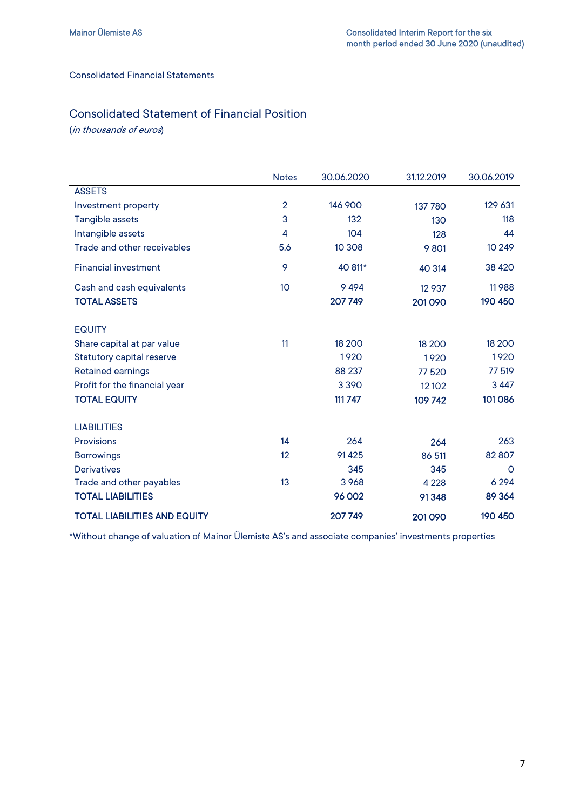#### Consolidated Financial Statements

## Consolidated Statement of Financial Position

(in thousands of euros)

|                                     | <b>Notes</b>   | 30.06.2020 | 31.12.2019 | 30.06.2019  |
|-------------------------------------|----------------|------------|------------|-------------|
| <b>ASSETS</b>                       |                |            |            |             |
| Investment property                 | $\overline{2}$ | 146 900    | 137 780    | 129 631     |
| Tangible assets                     | 3              | 132        | 130        | 118         |
| Intangible assets                   | 4              | 104        | 128        | 44          |
| Trade and other receivables         | 5,6            | 10 308     | 9801       | 10 249      |
| <b>Financial investment</b>         | 9              | 40 811*    | 40 314     | 38 4 20     |
| Cash and cash equivalents           | 10             | 9494       | 12 9 37    | 11988       |
| <b>TOTAL ASSETS</b>                 |                | 207749     | 201090     | 190 450     |
| <b>EQUITY</b>                       |                |            |            |             |
| Share capital at par value          | 11             | 18 200     | 18 200     | 18 200      |
| <b>Statutory capital reserve</b>    |                | 1920       | 1920       | 1920        |
| <b>Retained earnings</b>            |                | 88 237     | 77 520     | 77 519      |
| Profit for the financial year       |                | 3 3 9 0    | 12 10 2    | 3 4 4 7     |
| <b>TOTAL EQUITY</b>                 |                | 111 747    | 109742     | 101086      |
| <b>LIABILITIES</b>                  |                |            |            |             |
| <b>Provisions</b>                   | 14             | 264        | 264        | 263         |
| <b>Borrowings</b>                   | 12             | 91425      | 86 511     | 82 807      |
| <b>Derivatives</b>                  |                | 345        | 345        | $\mathbf 0$ |
| Trade and other payables            | 13             | 3968       | 4 2 2 8    | 6 2 9 4     |
| <b>TOTAL LIABILITIES</b>            |                | 96 002     | 91348      | 89 364      |
| <b>TOTAL LIABILITIES AND EQUITY</b> |                | 207749     | 201090     | 190 450     |

\*Without change of valuation of Mainor Ülemiste AS's and associate companies' investments properties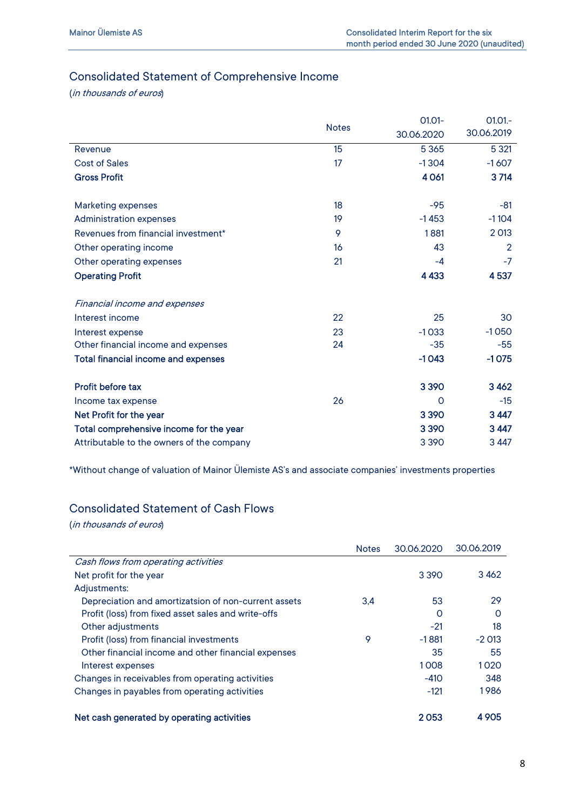## Consolidated Statement of Comprehensive Income

(in thousands of euros)

|                                            | <b>Notes</b> | $01.01 -$<br>30.06.2020 | $01.01 -$<br>30.06.2019 |
|--------------------------------------------|--------------|-------------------------|-------------------------|
| Revenue                                    | 15           | 5 3 6 5                 | 5 3 21                  |
| <b>Cost of Sales</b>                       | 17           | $-1304$                 | $-1607$                 |
| <b>Gross Profit</b>                        |              | 4 0 61                  | 3714                    |
| <b>Marketing expenses</b>                  | 18           | $-95$                   | $-81$                   |
| Administration expenses                    | 19           | $-1453$                 | $-1104$                 |
| Revenues from financial investment*        | 9            | 1881                    | 2 0 13                  |
| Other operating income                     | 16           | 43                      | $\overline{2}$          |
| Other operating expenses                   | 21           | $-4$                    | $-7$                    |
| <b>Operating Profit</b>                    |              | 4 4 3 3                 | 4537                    |
| <b>Financial income and expenses</b>       |              |                         |                         |
| Interest income                            | 22           | 25                      | 30                      |
| Interest expense                           | 23           | $-1033$                 | $-1050$                 |
| Other financial income and expenses        | 24           | $-35$                   | $-55$                   |
| <b>Total financial income and expenses</b> |              | $-1043$                 | $-1075$                 |
| Profit before tax                          |              | 3390                    | 3462                    |
| Income tax expense                         | 26           | $\Omega$                | $-15$                   |
| Net Profit for the year                    |              | 3390                    | 3 4 4 7                 |
| Total comprehensive income for the year    |              | 3 3 9 0                 | 3 4 4 7                 |
| Attributable to the owners of the company  |              | 3 3 9 0                 | 3 4 4 7                 |

\*Without change of valuation of Mainor Ülemiste AS's and associate companies' investments properties

### Consolidated Statement of Cash Flows

(in thousands of euros)

|                                                      | <b>Notes</b> | 30.06.2020 | 30.06.2019 |
|------------------------------------------------------|--------------|------------|------------|
| Cash flows from operating activities                 |              |            |            |
| Net profit for the year                              |              | 3 3 9 0    | 3462       |
| Adjustments:                                         |              |            |            |
| Depreciation and amortizatsion of non-current assets | 3.4          | 53         | 29         |
| Profit (loss) from fixed asset sales and write-offs  |              | O          | $\Omega$   |
| Other adjustments                                    |              | $-21$      | 18         |
| Profit (loss) from financial investments             | 9            | $-1881$    | $-2013$    |
| Other financial income and other financial expenses  |              | 35         | 55         |
| Interest expenses                                    |              | 1008       | 1020       |
| Changes in receivables from operating activities     |              | $-410$     | 348        |
| Changes in payables from operating activities        |              | $-121$     | 1986       |
| Net cash generated by operating activities           |              | 2053       | 4 9 0 5    |

8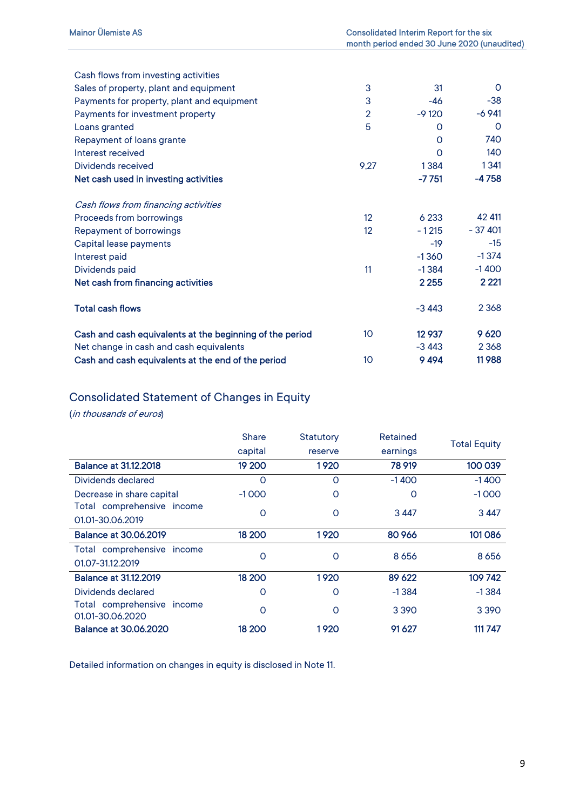| Cash flows from investing activities                     |                   |          |          |
|----------------------------------------------------------|-------------------|----------|----------|
| Sales of property, plant and equipment                   | 3                 | 31       | $\Omega$ |
| Payments for property, plant and equipment               | 3                 | -46      | $-38$    |
| Payments for investment property                         | $\overline{2}$    | $-9120$  | $-6941$  |
| Loans granted                                            | 5                 | $\Omega$ | 0        |
| Repayment of loans grante                                |                   | $\Omega$ | 740      |
| Interest received                                        |                   | $\Omega$ | 140      |
| Dividends received                                       | 9,27              | 1384     | 1341     |
| Net cash used in investing activities                    |                   | -7 751   | $-4758$  |
| Cash flows from financing activities                     |                   |          |          |
| Proceeds from borrowings                                 | $12 \overline{ }$ | 6 2 3 3  | 42 411   |
| Repayment of borrowings                                  | 12                | $-1215$  | $-37401$ |
| Capital lease payments                                   |                   | $-19$    | $-15$    |
| Interest paid                                            |                   | $-1360$  | $-1374$  |
| Dividends paid                                           | 11                | $-1384$  | $-1400$  |
| Net cash from financing activities                       |                   | 2 2 5 5  | 2 2 2 1  |
| <b>Total cash flows</b>                                  |                   | $-3443$  | 2 3 6 8  |
| Cash and cash equivalents at the beginning of the period | 10 <sup>°</sup>   | 12 9 37  | 9 6 20   |
| Net change in cash and cash equivalents                  |                   | $-3443$  | 2 3 6 8  |
| Cash and cash equivalents at the end of the period       | 10                | 9494     | 11988    |

## Consolidated Statement of Changes in Equity

(in thousands of euros)

|                                                | <b>Share</b> | Statutory | Retained | <b>Total Equity</b> |
|------------------------------------------------|--------------|-----------|----------|---------------------|
|                                                | capital      | reserve   | earnings |                     |
| <b>Balance at 31.12.2018</b>                   | 19 200       | 1920      | 78 919   | 100 039             |
| Dividends declared                             | O            | O         | $-1400$  | $-1400$             |
| Decrease in share capital                      | $-1000$      | O         | $\Omega$ | $-1000$             |
| Total comprehensive income<br>01.01-30.06.2019 | O            | $\circ$   | 3 4 4 7  | 3 4 4 7             |
| <b>Balance at 30.06.2019</b>                   | 18 200       | 1920      | 80 966   | 101086              |
| Total comprehensive income<br>01.07-31.12.2019 | $\circ$      | O         | 8 6 5 6  | 8 6 5 6             |
| <b>Balance at 31.12.2019</b>                   | 18 200       | 1920      | 89 622   | 109742              |
| Dividends declared                             | O            | O         | $-1384$  | $-1384$             |
| Total comprehensive income<br>01.01-30.06.2020 | O            | O         | 3 3 9 0  | 3 3 9 0             |
| <b>Balance at 30,06,2020</b>                   | 18 200       | 1920      | 91627    | 111 747             |

Detailed information on changes in equity is disclosed in Note 11.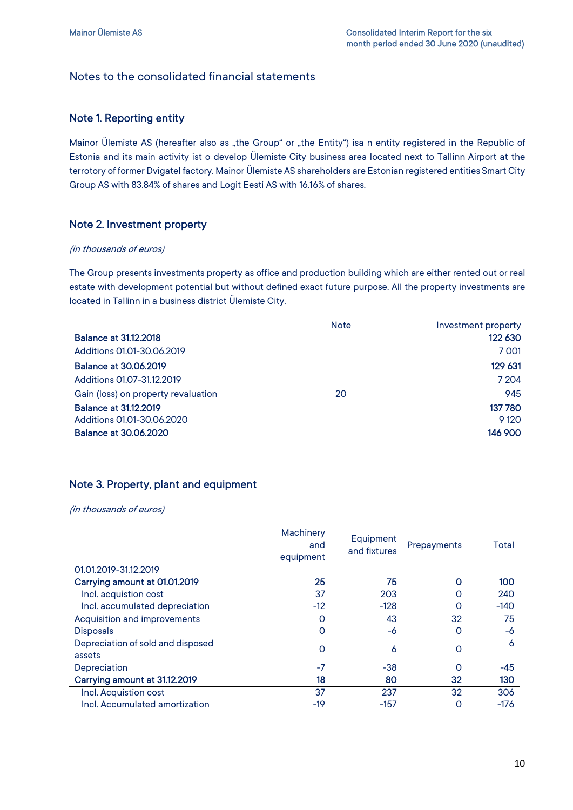## Notes to the consolidated financial statements

#### Note 1. Reporting entity

Mainor Ülemiste AS (hereafter also as "the Group" or "the Entity") isa n entity registered in the Republic of Estonia and its main activity ist o develop Ülemiste City business area located next to Tallinn Airport at the terrotory of former Dvigatel factory. Mainor Ülemiste AS shareholders are Estonian registered entities Smart City Group AS with 83.84% of shares and Logit Eesti AS with 16.16% of shares.

#### Note 2. Investment property

#### (in thousands of euros)

The Group presents investments property as office and production building which are either rented out or real estate with development potential but without defined exact future purpose. All the property investments are located in Tallinn in a business district Ülemiste City.

|                                     | <b>Note</b> | Investment property |
|-------------------------------------|-------------|---------------------|
| <b>Balance at 31.12.2018</b>        |             | 122 630             |
| Additions 01.01-30.06.2019          |             | 7001                |
| <b>Balance at 30,06,2019</b>        |             | 129 631             |
| Additions 01.07-31.12.2019          |             | 7 2 0 4             |
| Gain (loss) on property revaluation | 20          | 945                 |
| <b>Balance at 31.12.2019</b>        |             | 137780              |
| Additions 01.01-30.06.2020          |             | 9 1 2 0             |
| <b>Balance at 30.06.2020</b>        |             | 146 900             |

### Note 3. Property, plant and equipment

|                                             | Machinery<br>and<br>equipment | Equipment<br>and fixtures | Prepayments | Total  |
|---------------------------------------------|-------------------------------|---------------------------|-------------|--------|
| 01.01.2019-31.12.2019                       |                               |                           |             |        |
| Carrying amount at 01.01.2019               | 25                            | 75                        | O           | 100    |
| Incl. acquistion cost                       | 37                            | 203                       | 0           | 240    |
| Incl. accumulated depreciation              | $-12$                         | $-128$                    | 0           | $-140$ |
| Acquisition and improvements                | O                             | 43                        | 32          | 75     |
| <b>Disposals</b>                            | $\Omega$                      | -6                        | $\Omega$    | -6     |
| Depreciation of sold and disposed<br>assets | $\Omega$                      | 6                         | $\circ$     | 6      |
| Depreciation                                | $-7$                          | $-38$                     | $\Omega$    | $-45$  |
| Carrying amount at 31.12.2019               | 18                            | 80                        | 32          | 130    |
| Incl. Acquistion cost                       | 37                            | 237                       | 32          | 306    |
| Incl. Accumulated amortization              | $-19$                         | $-157$                    | 0           | $-176$ |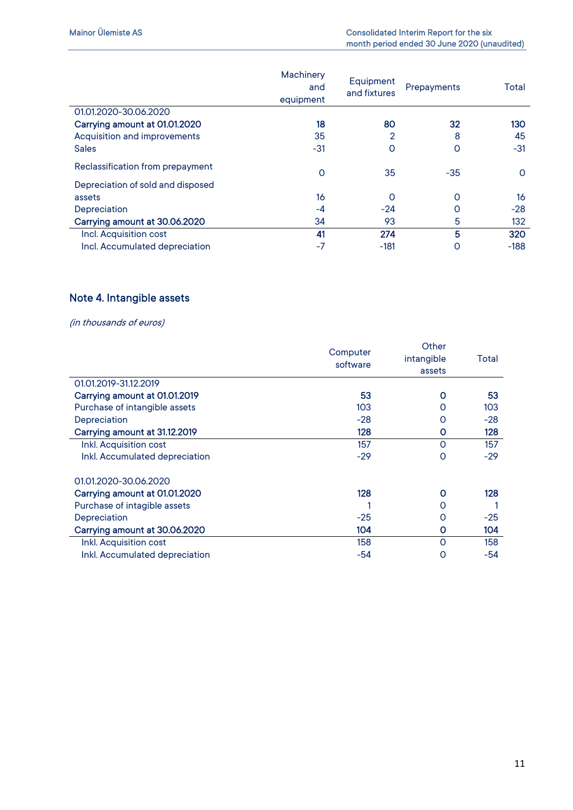|                                   | Machinery<br>and<br>equipment | Equipment<br>and fixtures | Prepayments | Total    |
|-----------------------------------|-------------------------------|---------------------------|-------------|----------|
| 01.01.2020-30.06.2020             |                               |                           |             |          |
| Carrying amount at 01.01.2020     | 18                            | 80                        | 32          | 130      |
| Acquisition and improvements      | 35                            | 2                         | 8           | 45       |
| <b>Sales</b>                      | $-31$                         | O                         | 0           | $-31$    |
| Reclassification from prepayment  | 0                             | 35                        | $-35$       | $\Omega$ |
| Depreciation of sold and disposed |                               |                           |             |          |
| assets                            | 16                            | $\circ$                   | Ο           | 16       |
| Depreciation                      | -4                            | $-24$                     | Ο           | $-28$    |
| Carrying amount at 30.06.2020     | 34                            | 93                        | 5           | 132      |
| Incl. Acquisition cost            | 41                            | 274                       | 5           | 320      |
| Incl. Accumulated depreciation    | $-7$                          | $-181$                    | 0           | $-188$   |

## Note 4. Intangible assets

|                                | Computer<br>software | Other<br>intangible<br>assets | Total |
|--------------------------------|----------------------|-------------------------------|-------|
| 01.01.2019-31.12.2019          |                      |                               |       |
| Carrying amount at 01.01.2019  | 53                   | Ο                             | 53    |
| Purchase of intangible assets  | 103                  | O                             | 103   |
| Depreciation                   | $-28$                | O                             | $-28$ |
| Carrying amount at 31.12.2019  | 128                  | Ο                             | 128   |
| Inkl. Acquisition cost         | 157                  | O                             | 157   |
| Inkl. Accumulated depreciation | $-29$                | 0                             | $-29$ |
| 01.01.2020-30.06.2020          |                      |                               |       |
| Carrying amount at 01.01.2020  | 128                  | 0                             | 128   |
| Purchase of intagible assets   |                      | Ο                             |       |
| Depreciation                   | $-25$                | Ο                             | $-25$ |
| Carrying amount at 30.06.2020  | 104                  | Ο                             | 104   |
| Inkl. Acquisition cost         | 158                  | O                             | 158   |
| Inkl. Accumulated depreciation | $-54$                | O                             | $-54$ |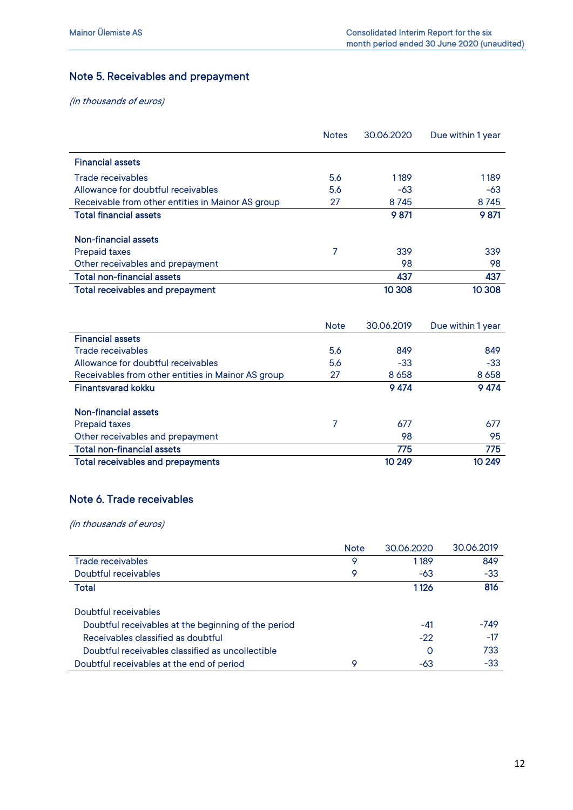## Note 5. Receivables and prepayment

(in thousands of euros)

|                                                   | <b>Notes</b> | 30.06.2020 | Due within 1 year |
|---------------------------------------------------|--------------|------------|-------------------|
| <b>Financial assets</b>                           |              |            |                   |
| Trade receivables                                 | 5.6          | 1189       | 1189              |
| Allowance for doubtful receivables                | 5,6          | -63        | -63               |
| Receivable from other entities in Mainor AS group | 27           | 8745       | 8745              |
| <b>Total financial assets</b>                     |              | 9 871      | 9 871             |
| Non-financial assets                              |              |            |                   |
| <b>Prepaid taxes</b>                              | 7            | 339        | 339               |
| Other receivables and prepayment                  |              | 98         | 98                |
| <b>Total non-financial assets</b>                 |              | 437        | 437               |
| <b>Total receivables and prepayment</b>           |              | 10 308     | 10 308            |

|                                                    | <b>Note</b> | 30.06.2019 | Due within 1 year |
|----------------------------------------------------|-------------|------------|-------------------|
| <b>Financial assets</b>                            |             |            |                   |
| Trade receivables                                  | 5.6         | 849        | 849               |
| Allowance for doubtful receivables                 | 5,6         | $-33$      | $-33$             |
| Receivables from other entities in Mainor AS group | 27          | 8658       | 8 6 5 8           |
| <b>Finantsvarad kokku</b>                          |             | 9 4 7 4    | 9 4 7 4           |
|                                                    |             |            |                   |
| Non-financial assets                               |             |            |                   |
| <b>Prepaid taxes</b>                               | 7           | 677        | 677               |
| Other receivables and prepayment                   |             | 98         | 95                |
| <b>Total non-financial assets</b>                  |             | 775        | 775               |
| <b>Total receivables and prepayments</b>           |             | 10 249     | 10 249            |

### Note 6. Trade receivables

|                                                     | <b>Note</b> | 30.06.2020 | 30.06.2019 |
|-----------------------------------------------------|-------------|------------|------------|
| Trade receivables                                   | 9           | 1189       | 849        |
| Doubtful receivables                                | 9           | -63        | $-33$      |
| <b>Total</b>                                        |             | 1 1 2 6    | 816        |
| Doubtful receivables                                |             |            |            |
| Doubtful receivables at the beginning of the period |             | $-41$      | -749       |
| Receivables classified as doubtful                  |             | $-22$      | $-17$      |
| Doubtful receivables classified as uncollectible    |             | O          | 733        |
| Doubtful receivables at the end of period           | 9           | $-63$      | $-33$      |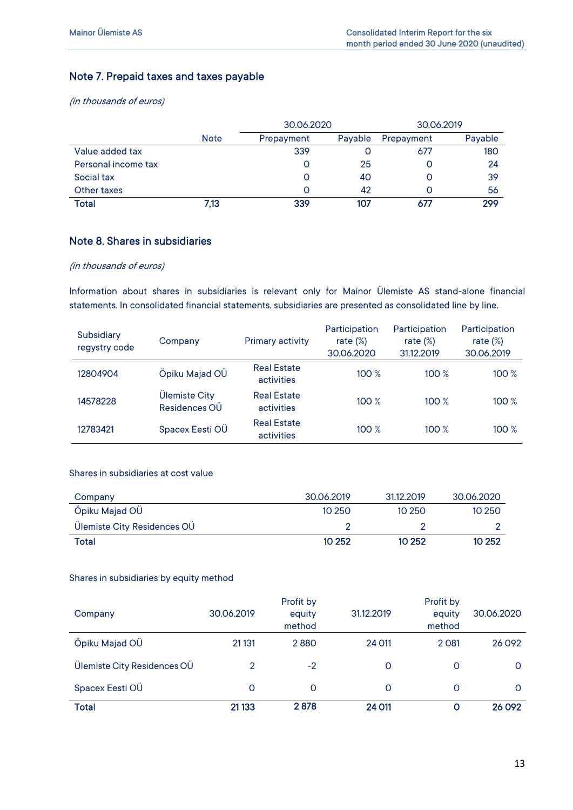## Note 7. Prepaid taxes and taxes payable

(in thousands of euros)

|                     |             | 30.06.2020 |         | 30.06.2019 |         |
|---------------------|-------------|------------|---------|------------|---------|
|                     | <b>Note</b> | Prepayment | Payable | Prepayment | Payable |
| Value added tax     |             | 339        |         | 677        | 180     |
| Personal income tax |             |            | 25      |            | 24      |
| Social tax          |             |            | 40      | O          | 39      |
| Other taxes         |             |            | 42      | Ο          | 56      |
| <b>Total</b>        | 7,13        | 339        | 107     |            | 299     |

### Note 8. Shares in subsidiaries

#### (in thousands of euros)

Information about shares in subsidiaries is relevant only for Mainor Ülemiste AS stand-alone financial statements. In consolidated financial statements, subsidiaries are presented as consolidated line by line.

| Subsidiary<br>regystry code | Company                        | Primary activity                 | Participation<br>rate $(\%)$<br>30.06.2020 | Participation<br>rate $(\%)$<br>31.12.2019 | Participation<br>rate $(\%)$<br>30.06.2019 |
|-----------------------------|--------------------------------|----------------------------------|--------------------------------------------|--------------------------------------------|--------------------------------------------|
| 12804904                    | Öpiku Majad OÜ                 | <b>Real Estate</b><br>activities | 100%                                       | 100%                                       | 100%                                       |
| 14578228                    | Ülemiste City<br>Residences OU | <b>Real Estate</b><br>activities | 100%                                       | 100%                                       | 100%                                       |
| 12783421                    | Spacex Eesti OÜ                | <b>Real Estate</b><br>activities | 100%                                       | 100%                                       | 100%                                       |

#### Shares in subsidiaries at cost value

| Company                     | 30.06.2019 | 31.12.2019 | 30.06.2020 |
|-----------------------------|------------|------------|------------|
| Öpiku Majad OU              | 10 250     | 10 250     | 10 250     |
| Ülemiste City Residences OÜ |            |            |            |
| <b>Total</b>                | 10 25 2    | 10 25 2    | 10 25 2    |

#### Shares in subsidiaries by equity method

| Company                     | 30.06.2019 | Profit by<br>equity<br>method | 31.12.2019 | Profit by<br>equity<br>method | 30.06.2020 |
|-----------------------------|------------|-------------------------------|------------|-------------------------------|------------|
| Öpiku Majad OÜ              | 21 1 31    | 2880                          | 24 011     | 2 0 8 1                       | 26 0 92    |
| Ulemiste City Residences OU | 2          | $-2$                          | 0          | O                             | 0          |
| Spacex Eesti OU             | O          | $\Omega$                      | 0          | O                             | 0          |
| <b>Total</b>                | 21 133     | 2878                          | 24 011     | Ο                             | 26 092     |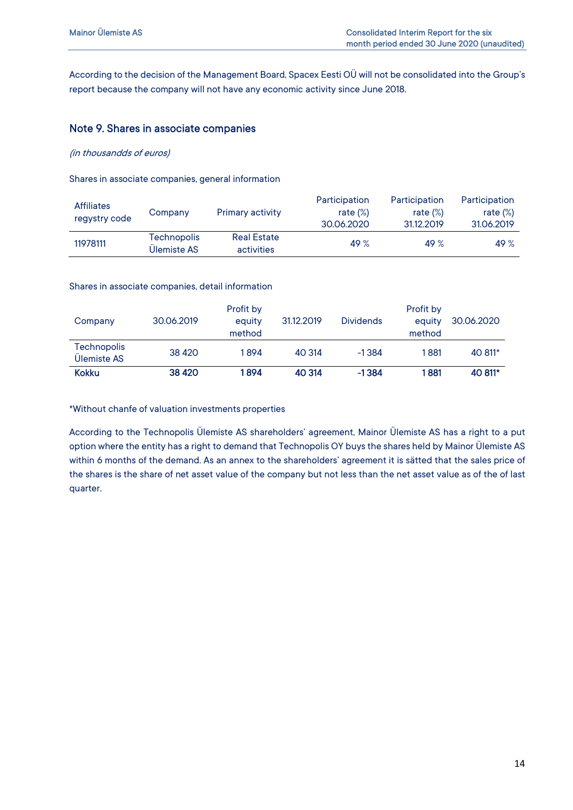According to the decision of the Management Board, Spacex Eesti OÜ will not be consolidated into the Group's report because the company will not have any economic activity since June 2018.

#### Note 9. Shares in associate companies

(in thousandds of euros)

Shares in associate companies, general information

| <b>Affiliates</b><br>regystry code | Company                    | <b>Primary activity</b>          | Participation<br>rate $(\%)$<br>30.06.2020 | Participation<br>rate $(\%)$<br>31.12.2019 | Participation<br>rate $(\%)$<br>31.06.2019 |
|------------------------------------|----------------------------|----------------------------------|--------------------------------------------|--------------------------------------------|--------------------------------------------|
| 11978111                           | Technopolis<br>Ulemiste AS | <b>Real Estate</b><br>activities | 49%                                        | 49%                                        | 49%                                        |

Shares in associate companies, detail information

| Company                           | 30.06.2019 | Profit by<br>equity<br>method | 31.12.2019 | <b>Dividends</b> | Profit by<br>equity<br>method | 30.06.2020 |
|-----------------------------------|------------|-------------------------------|------------|------------------|-------------------------------|------------|
| <b>Technopolis</b><br>Ulemiste AS | 38 4 20    | 1894                          | 40 314     | $-1.384$         | 1881                          | 40 811*    |
| <b>Kokku</b>                      | 38 4 20    | 1894                          | 40 314     | $-1384$          | 1881                          | 40 811*    |

\*Without chanfe of valuation investments properties

According to the Technopolis Ülemiste AS shareholders' agreement, Mainor Ülemiste AS has a right to a put option where the entity has a right to demand that Technopolis OY buys the shares held by Mainor Ülemiste AS within 6 months of the demand. As an annex to the shareholders' agreement it is sätted that the sales price of the shares is the share of net asset value of the company but not less than the net asset value as of the of last quarter.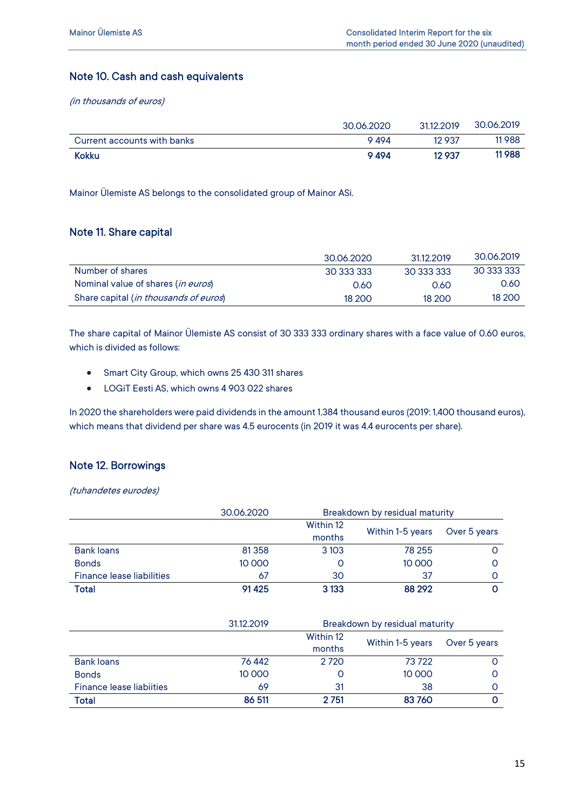### Note 10. Cash and cash equivalents

(in thousands of euros)

| <b>Kokku</b>                | 9494       | 12 9 37   | 11988      |
|-----------------------------|------------|-----------|------------|
| Current accounts with banks | 9 494      | 12937     | 11988      |
|                             | 30.06.2020 | 3112 2019 | 30.06.2019 |

Mainor Ülemiste AS belongs to the consolidated group of Mainor ASi.

### Note 11. Share capital

|                                                | 30.06.2020 | 31.12.2019 | 30.06.2019 |
|------------------------------------------------|------------|------------|------------|
| Number of shares                               | 30 333 333 | 30 333 333 | 30 333 333 |
| Nominal value of shares (in euros)             | 0.60       | 0.60       | 0.60       |
| Share capital ( <i>in thousands of euros</i> ) | 18 200     | 18 200     | 18 200     |

The share capital of Mainor Ülemiste AS consist of 30 333 333 ordinary shares with a face value of 0.60 euros, which is divided as follows:

- Smart City Group, which owns 25 430 311 shares
- LOGiT Eesti AS, which owns 4 903 022 shares

In 2020 the shareholders were paid dividends in the amount 1,384 thousand euros (2019: 1,400 thousand euros), which means that dividend per share was 4.5 eurocents (in 2019 it was 4.4 eurocents per share).

### Note 12. Borrowings

(tuhandetes eurodes)

|                                  | 30.06.2020 | Breakdown by residual maturity |                  |              |
|----------------------------------|------------|--------------------------------|------------------|--------------|
|                                  |            | Within 12                      |                  | Over 5 years |
|                                  |            | months                         | Within 1-5 years |              |
| <b>Bank loans</b>                | 81 3 58    | 3 1 0 3                        | 78 255           |              |
| <b>Bonds</b>                     | 10 000     | O                              | 10 000           |              |
| <b>Finance lease liabilities</b> | 67         | 30                             | 37               |              |
| Total                            | 91 4 25    | 3 1 3 3                        | 88 29 2          |              |

|                                 | 31.12.2019 | Breakdown by residual maturity |                  |              |
|---------------------------------|------------|--------------------------------|------------------|--------------|
|                                 |            | Within 12                      | Within 1-5 years |              |
|                                 |            | months                         |                  | Over 5 years |
| <b>Bank loans</b>               | 76 442     | 2 7 2 0                        | 73722            |              |
| <b>Bonds</b>                    | 10 000     |                                | 10 000           |              |
| <b>Finance lease liabiities</b> | 69         | 31                             | 38               |              |
| <b>Total</b>                    | 86 511     | 2 7 51                         | 83760            |              |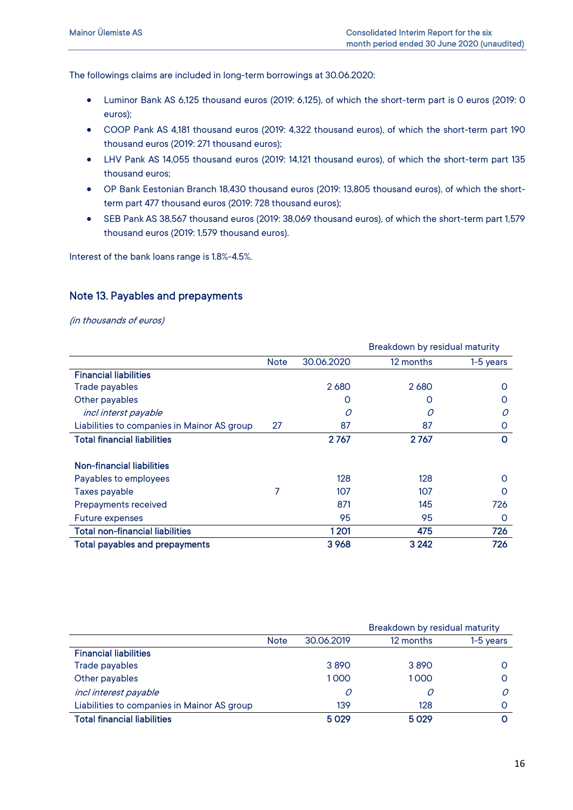The followings claims are included in long-term borrowings at 30.06.2020:

- Luminor Bank AS 6,125 thousand euros (2019: 6,125), of which the short-term part is 0 euros (2019: 0 euros);
- COOP Pank AS 4,181 thousand euros (2019: 4,322 thousand euros), of which the short-term part 190 thousand euros (2019: 271 thousand euros);
- LHV Pank AS 14,055 thousand euros (2019: 14,121 thousand euros), of which the short-term part 135 thousand euros;
- OP Bank Eestonian Branch 18,430 thousand euros (2019: 13,805 thousand euros), of which the shortterm part 477 thousand euros (2019: 728 thousand euros);
- SEB Pank AS 38,567 thousand euros (2019: 38,069 thousand euros), of which the short-term part 1,579 thousand euros (2019: 1,579 thousand euros).

Interest of the bank loans range is 1.8%-4.5%.

### Note 13. Payables and prepayments

|                                             | Breakdown by residual maturity |            |           |           |
|---------------------------------------------|--------------------------------|------------|-----------|-----------|
|                                             | <b>Note</b>                    | 30.06.2020 | 12 months | 1-5 years |
| <b>Financial liabilities</b>                |                                |            |           |           |
| Trade payables                              |                                | 2680       | 2680      | O         |
| Other payables                              |                                | O          | O         | Ω         |
| incl interst payable                        |                                | Ω          |           | $\Omega$  |
| Liabilities to companies in Mainor AS group | 27                             | 87         | 87        | 0         |
| <b>Total financial liabilities</b>          |                                | 2767       | 2767      | $\Omega$  |
|                                             |                                |            |           |           |
| Non-financial liabilities                   |                                |            |           |           |
| Payables to employees                       |                                | 128        | 128       | $\Omega$  |
| Taxes payable                               |                                | 107        | 107       | ი         |
| Prepayments received                        |                                | 871        | 145       | 726       |
| <b>Future expenses</b>                      |                                | 95         | 95        | O         |
| <b>Total non-financial liabilities</b>      |                                | 1201       | 475       | 726       |
| <b>Total payables and prepayments</b>       |                                | 3968       | 3 2 4 2   | 726       |

|                                             |             | Breakdown by residual maturity |           |           |
|---------------------------------------------|-------------|--------------------------------|-----------|-----------|
|                                             | <b>Note</b> | 30.06.2019                     | 12 months | 1-5 years |
| <b>Financial liabilities</b>                |             |                                |           |           |
| Trade payables                              |             | 3890                           | 3890      |           |
| Other payables                              |             | 1000                           | 1000      |           |
| incl interest payable                       |             | 0                              |           | Ω         |
| Liabilities to companies in Mainor AS group |             | 139                            | 128       |           |
| <b>Total financial liabilities</b>          |             | 5029                           | 5029      |           |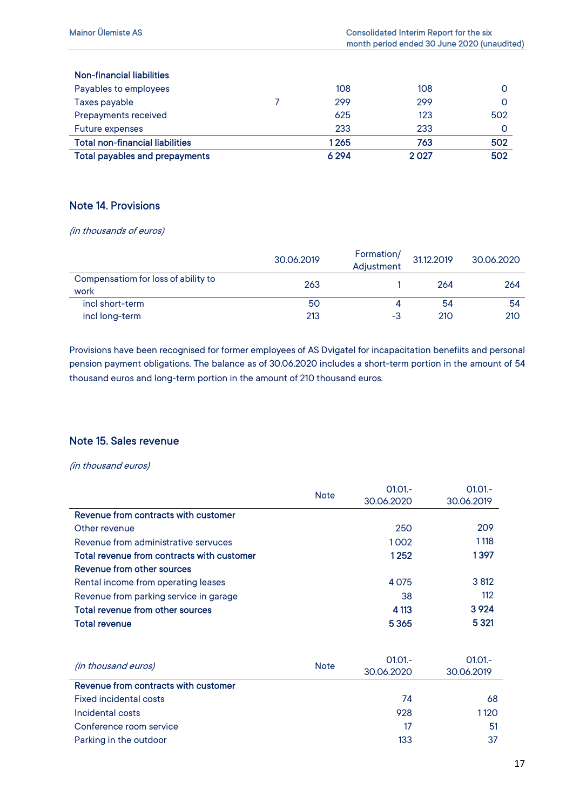## Note 14. Provisions

(in thousands of euros)

|                                             | 30.06.2019 | Formation/<br>Adjustment | 31.12.2019 | 30.06.2020 |
|---------------------------------------------|------------|--------------------------|------------|------------|
| Compensatiom for loss of ability to<br>work | 263        |                          | 264        | 264        |
| incl short-term                             | 50         |                          | 54         | 54         |
| incl long-term                              | 213        | -3                       | 210        | 210        |

Provisions have been recognised for former employees of AS Dvigatel for incapacitation benefiits and personal pension payment obligations. The balance as of 30.06.2020 includes a short-term portion in the amount of 54 thousand euros and long-term portion in the amount of 210 thousand euros.

## Note 15. Sales revenue

|                                            | <b>Note</b> | $01.01 -$  | $01.01 -$  |
|--------------------------------------------|-------------|------------|------------|
|                                            |             | 30.06.2020 | 30.06.2019 |
| Revenue from contracts with customer       |             |            |            |
| Other revenue                              |             | 250        | 209        |
| Revenue from administrative servuces       |             | 1002       | 1 1 1 8    |
| Total revenue from contracts with customer |             | 1252       | 1397       |
| Revenue from other sources                 |             |            |            |
| Rental income from operating leases        |             | 4075       | 3 8 12     |
| Revenue from parking service in garage     |             | 38         | 112        |
| <b>Total revenue from other sources</b>    |             | 4 1 13     | 3924       |
| <b>Total revenue</b>                       |             | 5365       | 5 3 21     |
|                                            |             |            |            |
|                                            |             | $01.01 -$  | $01.01 -$  |
| <i>(in thousand euros)</i>                 | <b>Note</b> | 30.06.2020 | 30.06.2019 |
| Revenue from contracts with customer       |             |            |            |
| <b>Fixed incidental costs</b>              |             | 74         | 68         |
| Incidental costs                           |             | 928        | 1120       |
| Conference room service                    |             | 17         | 51         |
| Parking in the outdoor                     |             | 133        | 37         |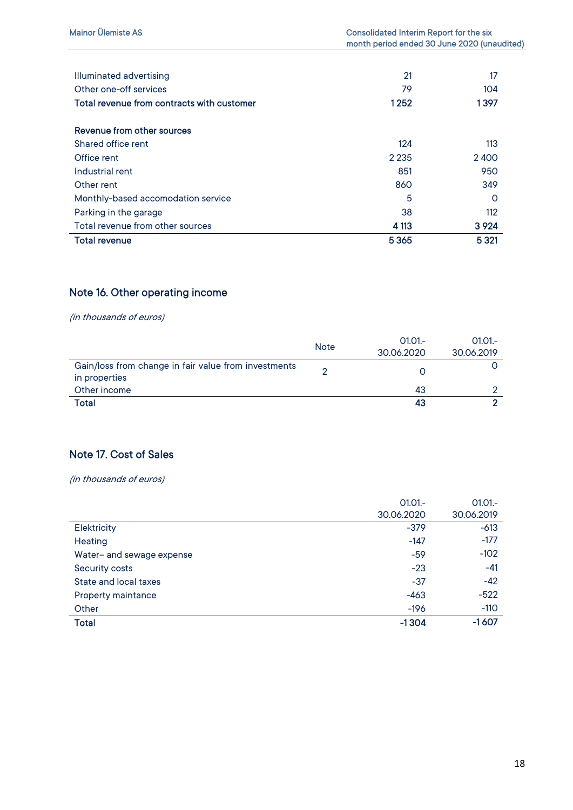| Illuminated advertising                    | 21      | 17      |
|--------------------------------------------|---------|---------|
| Other one-off services                     | 79      | 104     |
| Total revenue from contracts with customer | 1252    | 1397    |
| Revenue from other sources                 |         |         |
| Shared office rent                         | 124     | 113     |
| Office rent                                | 2 2 3 5 | 2400    |
| Industrial rent                            | 851     | 950     |
| Other rent                                 | 860     | 349     |
| Monthly-based accomodation service         | 5       | ∩       |
| Parking in the garage                      | 38      | 112     |
| Total revenue from other sources           | 4 1 13  | 3 9 2 4 |
| <b>Total revenue</b>                       | 5365    | 5 3 21  |

## Note 16. Other operating income

(in thousands of euros)

|                                                      | <b>Note</b> | $01.01 -$  | $01.01 -$  |
|------------------------------------------------------|-------------|------------|------------|
|                                                      |             | 30.06.2020 | 30.06.2019 |
| Gain/loss from change in fair value from investments |             |            |            |
| in properties                                        |             |            |            |
| Other income                                         |             | 43         |            |
| <b>Total</b>                                         |             | 43         |            |

## Note 17. Cost of Sales

|                           | $01.01 -$  | $01.01 -$  |
|---------------------------|------------|------------|
|                           | 30.06.2020 | 30.06.2019 |
| <b>Elektricity</b>        | $-379$     | $-613$     |
| Heating                   | $-147$     | $-177$     |
| Water- and sewage expense | $-59$      | $-102$     |
| <b>Security costs</b>     | $-23$      | $-41$      |
| State and local taxes     | $-37$      | $-42$      |
| Property maintance        | $-463$     | $-522$     |
| Other                     | $-196$     | $-110$     |
| <b>Total</b>              | $-1304$    | $-1607$    |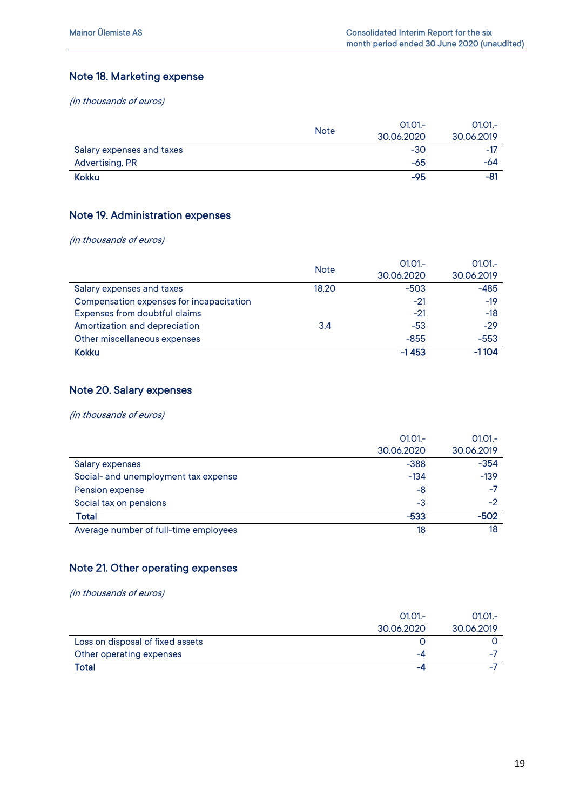## Note 18. Marketing expense

(in thousands of euros)

|                           | <b>Note</b> | 30.06.2020 | 30.06.2019 |
|---------------------------|-------------|------------|------------|
| Salary expenses and taxes |             | $-30$      | $-17$      |
| Advertising, PR           |             | -65        | -64        |
| <b>Kokku</b>              |             | $-95$      | $-81$      |

### Note 19. Administration expenses

(in thousands of euros)

|                                          |             | $01.01 -$  | $01.01 -$  |
|------------------------------------------|-------------|------------|------------|
|                                          | <b>Note</b> | 30.06.2020 | 30.06.2019 |
| Salary expenses and taxes                | 18,20       | $-503$     | $-485$     |
| Compensation expenses for incapacitation |             | $-21$      | $-19$      |
| Expenses from doubtful claims            |             | $-21$      | $-18$      |
| Amortization and depreciation            | 3.4         | $-53$      | $-29$      |
| Other miscellaneous expenses             |             | $-855$     | $-553$     |
| <b>Kokku</b>                             |             | $-1453$    | $-1104$    |

#### Note 20. Salary expenses

(in thousands of euros)

|                                       | $01.01 -$  | $01.01 -$  |
|---------------------------------------|------------|------------|
|                                       | 30.06.2020 | 30.06.2019 |
| <b>Salary expenses</b>                | $-388$     | $-354$     |
| Social- and unemployment tax expense  | $-134$     | $-139$     |
| Pension expense                       | -8         | $-7$       |
| Social tax on pensions                | -3         | -2         |
| Total                                 | $-533$     | $-502$     |
| Average number of full-time employees | 18         | 18         |

## Note 21. Other operating expenses

|                                  | $01.01 -$  | $01.01 -$  |
|----------------------------------|------------|------------|
|                                  | 30.06.2020 | 30.06.2019 |
| Loss on disposal of fixed assets |            |            |
| Other operating expenses         | -4         | -          |
| <b>Total</b>                     | -4         | -          |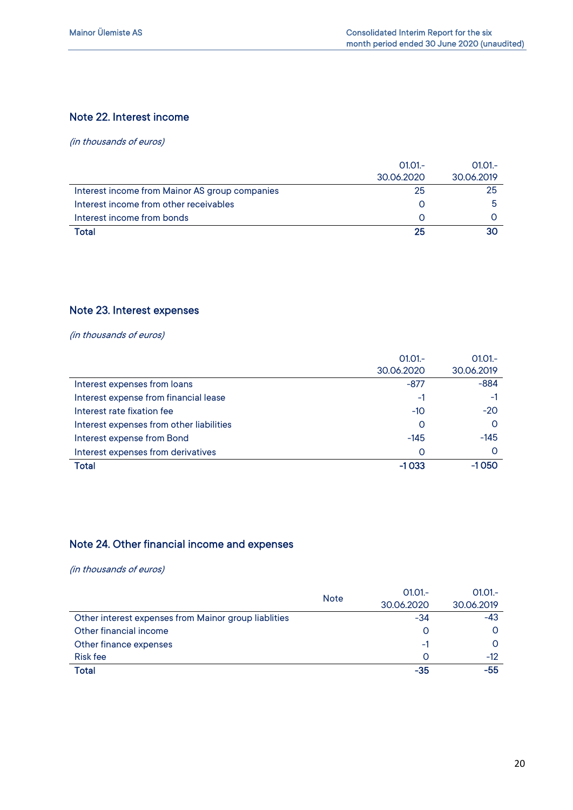### Note 22. Interest income

(in thousands of euros)

|                                                | $01.01 -$  | $01.01 -$  |
|------------------------------------------------|------------|------------|
|                                                | 30.06.2020 | 30.06.2019 |
| Interest income from Mainor AS group companies | 25         | 25         |
| Interest income from other receivables         |            |            |
| Interest income from bonds                     |            |            |
| Total                                          | 25         |            |

## Note 23. Interest expenses

(in thousands of euros)

|                                          | $01.01 -$  | $01.01 -$  |
|------------------------------------------|------------|------------|
|                                          | 30.06.2020 | 30.06.2019 |
| Interest expenses from loans             | $-877$     | $-884$     |
| Interest expense from financial lease    | -1         | $-1$       |
| Interest rate fixation fee               | -10        | $-20$      |
| Interest expenses from other liabilities | O          |            |
| Interest expense from Bond               | $-145$     | $-145$     |
| Interest expenses from derivatives       | O          |            |
| Total                                    | $-1033$    | $-1050$    |

## Note 24. Other financial income and expenses

|                                                      | <b>Note</b> | $01.01 -$  | $01.01 -$  |
|------------------------------------------------------|-------------|------------|------------|
|                                                      |             | 30.06.2020 | 30.06.2019 |
| Other interest expenses from Mainor group liablities |             | $-34$      | $-43$      |
| Other financial income                               |             |            |            |
| Other finance expenses                               |             | -1         |            |
| Risk fee                                             |             |            | -12        |
| Total                                                |             | $-35$      | $-55$      |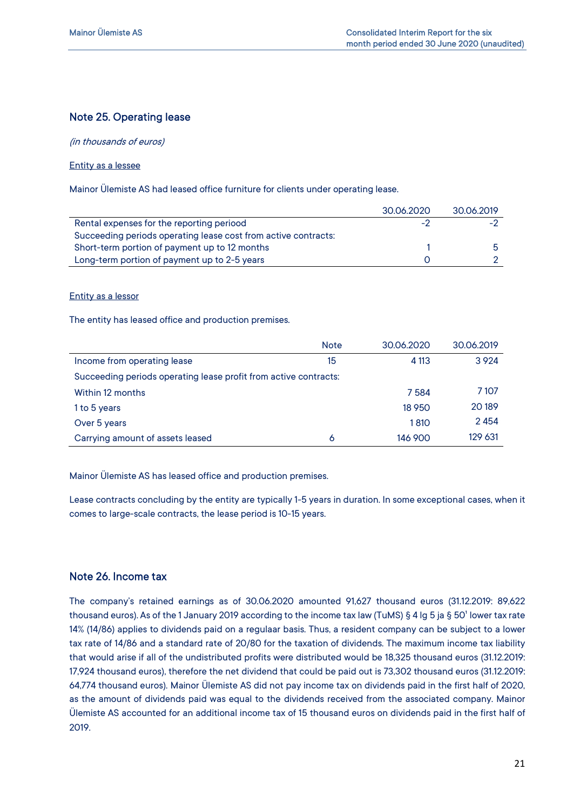### Note 25. Operating lease

(in thousands of euros)

#### Entity as a lessee

Mainor Ülemiste AS had leased office furniture for clients under operating lease.

|                                                                | 30.06.2020 | 30.06.2019 |
|----------------------------------------------------------------|------------|------------|
| Rental expenses for the reporting periood                      | -2         | н.,        |
| Succeeding periods operating lease cost from active contracts: |            |            |
| Short-term portion of payment up to 12 months                  |            |            |
| Long-term portion of payment up to 2-5 years                   |            |            |

#### Entity as a lessor

The entity has leased office and production premises.

|                                                                  | <b>Note</b> | 30.06.2020 | 30.06.2019 |
|------------------------------------------------------------------|-------------|------------|------------|
| Income from operating lease                                      | 15          | 4 1 13     | 3924       |
| Succeeding periods operating lease profit from active contracts: |             |            |            |
| Within 12 months                                                 |             | 7584       | 7 107      |
| 1 to 5 years                                                     |             | 18 9 50    | 20 18 9    |
| Over 5 years                                                     |             | 1810       | 2454       |
| Carrying amount of assets leased                                 | 6           | 146 900    | 129 631    |

Mainor Ülemiste AS has leased office and production premises.

Lease contracts concluding by the entity are typically 1-5 years in duration. In some exceptional cases, when it comes to large-scale contracts, the lease period is 10-15 years.

#### Note 26. Income tax

The company's retained earnings as of 30.06.2020 amounted 91,627 thousand euros (31.12.2019: 89,622 thousand euros). As of the 1 January 2019 according to the income tax law (TuMS) § 4 lg 5 ja § 50' lower tax rate 14% (14/86) applies to dividends paid on a regulaar basis. Thus, a resident company can be subject to a lower tax rate of 14/86 and a standard rate of 20/80 for the taxation of dividends. The maximum income tax liability that would arise if all of the undistributed profits were distributed would be 18,325 thousand euros (31.12.2019: 17,924 thousand euros), therefore the net dividend that could be paid out is 73,302 thousand euros (31.12.2019: 64,774 thousand euros). Mainor Ülemiste AS did not pay income tax on dividends paid in the first half of 2020, as the amount of dividends paid was equal to the dividends received from the associated company. Mainor Ülemiste AS accounted for an additional income tax of 15 thousand euros on dividends paid in the first half of 2019.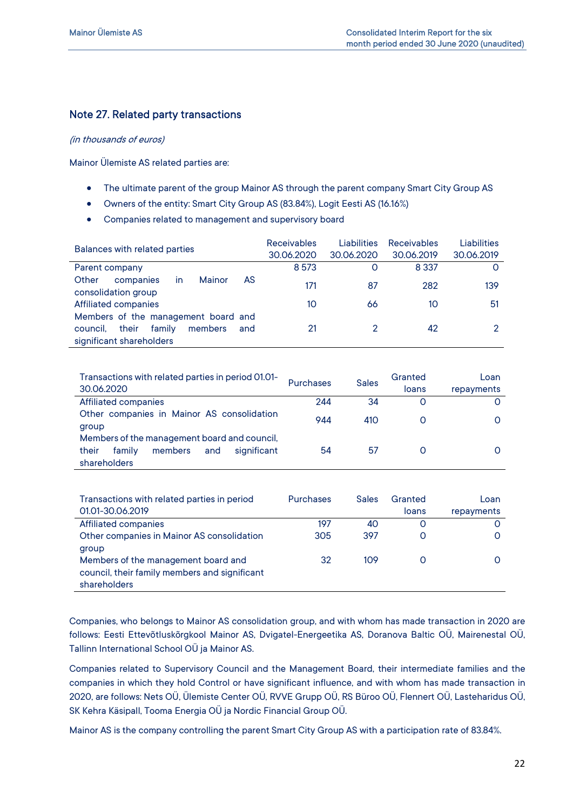### Note 27. Related party transactions

#### (in thousands of euros)

Mainor Ülemiste AS related parties are:

- The ultimate parent of the group Mainor AS through the parent company Smart City Group AS
- Owners of the entity: Smart City Group AS (83.84%), Logit Eesti AS (16.16%)
- Companies related to management and supervisory board

| Balances with related parties                                                                                    | <b>Receivables</b><br>30.06.2020 | <b>Liabilities</b><br>30.06.2020 | <b>Receivables</b><br>30.06.2019 | <b>Liabilities</b><br>30.06.2019 |
|------------------------------------------------------------------------------------------------------------------|----------------------------------|----------------------------------|----------------------------------|----------------------------------|
| Parent company                                                                                                   | 8 5 7 3                          | O                                | 8 3 3 7                          | O                                |
| Mainor<br>AS<br>Other<br>companies<br>in<br>consolidation group                                                  | 171                              | 87                               | 282                              | 139                              |
| Affiliated companies                                                                                             | 10                               | 66                               | 10                               | 51                               |
| Members of the management board and<br>their<br>family<br>members<br>and<br>council.<br>significant shareholders | 21                               | 2                                | 42                               | റ                                |
|                                                                                                                  |                                  |                                  |                                  |                                  |

| Transactions with related parties in period 01.01-<br>30.06.2020                                                 | <b>Purchases</b> | <b>Sales</b> | Granted<br>loans | Loan<br>repayments |
|------------------------------------------------------------------------------------------------------------------|------------------|--------------|------------------|--------------------|
| <b>Affiliated companies</b>                                                                                      | 244              | 34           | Ο                |                    |
| Other companies in Mainor AS consolidation<br>group                                                              | 944              | 410          | O                |                    |
| Members of the management board and council.<br>their<br>members<br>significant<br>family<br>and<br>shareholders | 54               | 57           | O                |                    |

| Transactions with related parties in period<br>01.01-30.06.2019 | <b>Purchases</b> | <b>Sales</b> | Granted<br>loans | Loan<br>repayments |
|-----------------------------------------------------------------|------------------|--------------|------------------|--------------------|
| Affiliated companies                                            | 197              | 40           | O                |                    |
| Other companies in Mainor AS consolidation                      | 305              | 397          | O                |                    |
| group                                                           |                  |              |                  |                    |
| Members of the management board and                             | 32               | 109          |                  |                    |
| council, their family members and significant                   |                  |              |                  |                    |
| shareholders                                                    |                  |              |                  |                    |

Companies, who belongs to Mainor AS consolidation group, and with whom has made transaction in 2020 are follows: Eesti Ettevõtluskõrgkool Mainor AS, Dvigatel-Energeetika AS, Doranova Baltic OÜ, Mairenestal OÜ, Tallinn International School OÜ ja Mainor AS.

Companies related to Supervisory Council and the Management Board, their intermediate families and the companies in which they hold Control or have significant influence, and with whom has made transaction in 2020, are follows: Nets OÜ, Ülemiste Center OÜ, RVVE Grupp OÜ, RS Büroo OÜ, Flennert OÜ, Lasteharidus OÜ, SK Kehra Käsipall, Tooma Energia OÜ ja Nordic Financial Group OÜ.

Mainor AS is the company controlling the parent Smart City Group AS with a participation rate of 83.84%.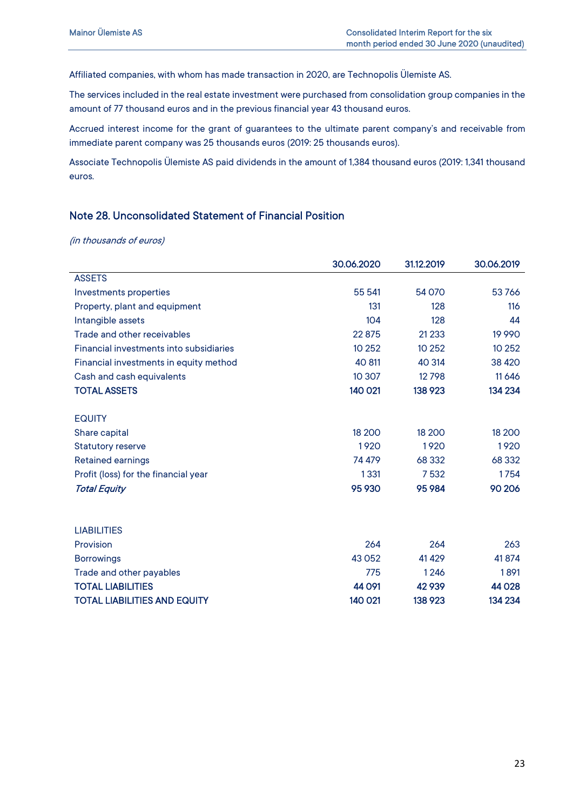Affiliated companies, with whom has made transaction in 2020, are Technopolis Ülemiste AS.

The services included in the real estate investment were purchased from consolidation group companies in the amount of 77 thousand euros and in the previous financial year 43 thousand euros.

Accrued interest income for the grant of guarantees to the ultimate parent company's and receivable from immediate parent company was 25 thousands euros (2019: 25 thousands euros).

Associate Technopolis Ülemiste AS paid dividends in the amount of 1,384 thousand euros (2019: 1,341 thousand euros.

#### Note 28. Unconsolidated Statement of Financial Position

|                                         | 30.06.2020 | 31.12.2019 | 30.06.2019 |
|-----------------------------------------|------------|------------|------------|
| <b>ASSETS</b>                           |            |            |            |
| Investments properties                  | 55 541     | 54 070     | 53766      |
| Property, plant and equipment           | 131        | 128        | 116        |
| Intangible assets                       | 104        | 128        | 44         |
| Trade and other receivables             | 22875      | 21 2 3 3   | 19 9 9 0   |
| Financial investments into subsidiaries | 10 25 2    | 10 25 2    | 10 25 2    |
| Financial investments in equity method  | 40 811     | 40 314     | 38 4 20    |
| Cash and cash equivalents               | 10 307     | 12798      | 11 6 4 6   |
| <b>TOTAL ASSETS</b>                     | 140 021    | 138 923    | 134 234    |
| <b>EQUITY</b>                           |            |            |            |
| Share capital                           | 18 200     | 18 200     | 18 200     |
| <b>Statutory reserve</b>                | 1920       | 1920       | 1920       |
| <b>Retained earnings</b>                | 74 479     | 68 332     | 68 3 32    |
| Profit (loss) for the financial year    | 1331       | 7532       | 1754       |
| <b>Total Equity</b>                     | 95 930     | 95 984     | 90 206     |
|                                         |            |            |            |
| <b>LIABILITIES</b>                      |            |            |            |
| Provision                               | 264        | 264        | 263        |
| <b>Borrowings</b>                       | 43 0 52    | 41 4 29    | 41874      |
| Trade and other payables                | 775        | 1246       | 1891       |
| <b>TOTAL LIABILITIES</b>                | 44 0 91    | 42 9 39    | 44 0 28    |
| <b>TOTAL LIABILITIES AND EQUITY</b>     | 140 021    | 138 923    | 134 234    |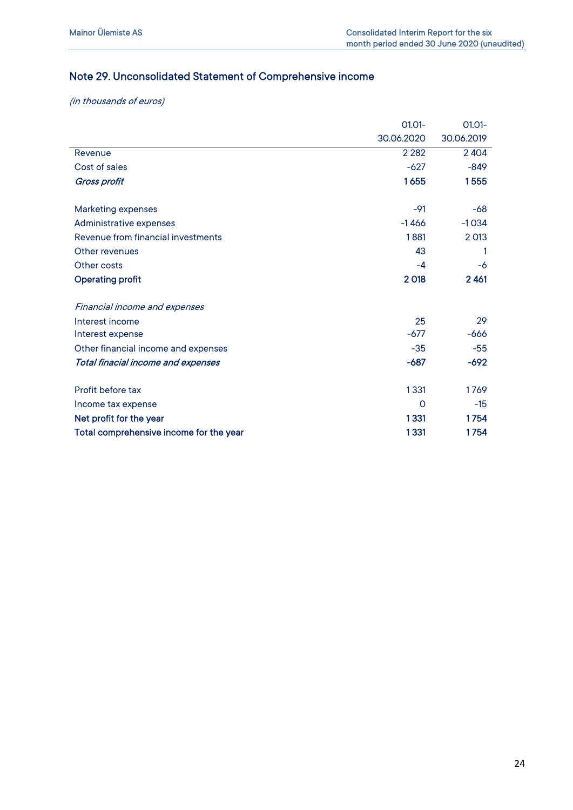## Note 29. Unconsolidated Statement of Comprehensive income

|                                         | $01.01 -$  | $01.01 -$  |
|-----------------------------------------|------------|------------|
|                                         | 30.06.2020 | 30.06.2019 |
| Revenue                                 | 2 2 8 2    | 2404       |
| Cost of sales                           | $-627$     | $-849$     |
| <b>Gross profit</b>                     | 1655       | 1555       |
|                                         |            |            |
| <b>Marketing expenses</b>               | $-91$      | -68        |
| Administrative expenses                 | $-1466$    | $-1034$    |
| Revenue from financial investments      | 1881       | 2 0 13     |
| Other revenues                          | 43         | 1          |
| Other costs                             | -4         | -6         |
| <b>Operating profit</b>                 | 2018       | 2461       |
| <b>Financial income and expenses</b>    |            |            |
| Interest income                         | 25         | 29         |
| Interest expense                        | $-677$     | $-666$     |
| Other financial income and expenses     | $-35$      | $-55$      |
| Total finacial income and expenses      | $-687$     | $-692$     |
| Profit before tax                       | 1331       | 1769       |
| Income tax expense                      | $\Omega$   | $-15$      |
| Net profit for the year                 | 1331       | 1754       |
| Total comprehensive income for the year | 1331       | 1754       |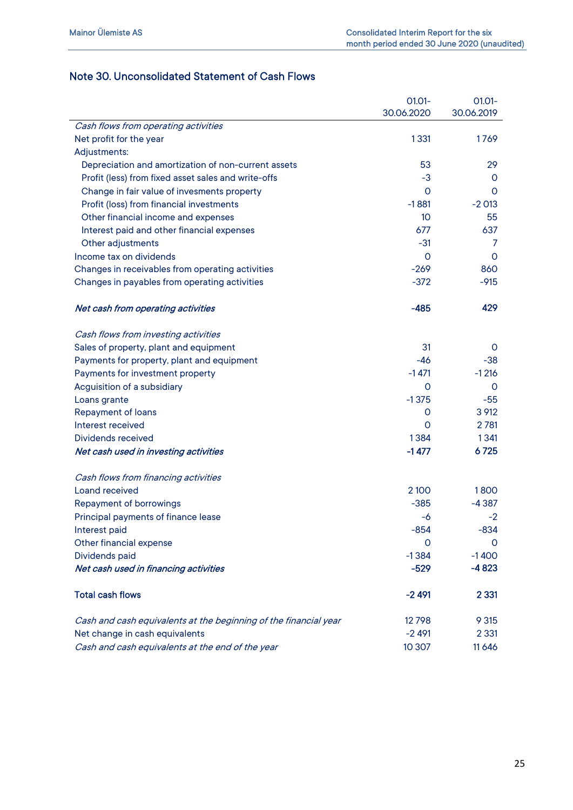## Note 30. Unconsolidated Statement of Cash Flows

|                                                                  | $01.01 -$       | $01.01 -$  |
|------------------------------------------------------------------|-----------------|------------|
|                                                                  | 30.06.2020      | 30.06.2019 |
| Cash flows from operating activities                             |                 |            |
| Net profit for the year                                          | 1331            | 1769       |
| Adjustments:                                                     |                 |            |
| Depreciation and amortization of non-current assets              | 53              | 29         |
| Profit (less) from fixed asset sales and write-offs              | -3              | 0          |
| Change in fair value of invesments property                      | 0               | 0          |
| Profit (loss) from financial investments                         | $-1881$         | $-2013$    |
| Other financial income and expenses                              | 10 <sup>°</sup> | 55         |
| Interest paid and other financial expenses                       | 677             | 637        |
| Other adjustments                                                | $-31$           | 7          |
| Income tax on dividends                                          | 0               | 0          |
| Changes in receivables from operating activities                 | $-269$          | 860        |
| Changes in payables from operating activities                    | $-372$          | $-915$     |
| Net cash from operating activities                               | $-485$          | 429        |
| Cash flows from investing activities                             |                 |            |
| Sales of property, plant and equipment                           | 31              | 0          |
| Payments for property, plant and equipment                       | -46             | $-38$      |
| Payments for investment property                                 | $-1471$         | $-1216$    |
| Acguisition of a subsidiary                                      | 0               | $\circ$    |
| Loans grante                                                     | $-1375$         | $-55$      |
| <b>Repayment of loans</b>                                        | 0               | 3 9 12     |
| Interest received                                                | Ω               | 2 7 8 1    |
| Dividends received                                               | 1384            | 1341       |
| Net cash used in investing activities                            | $-1477$         | 6725       |
| Cash flows from financing activities                             |                 |            |
| Loand received                                                   | 2 100           | 1800       |
| <b>Repayment of borrowings</b>                                   | $-385$          | $-4387$    |
| Principal payments of finance lease                              | -6              | $-2$       |
| Interest paid                                                    | $-854$          | $-834$     |
| Other financial expense                                          | O               | 0          |
| Dividends paid                                                   | $-1384$         | $-1400$    |
| Net cash used in financing activities                            | $-529$          | $-4823$    |
| <b>Total cash flows</b>                                          | $-2491$         | 2 3 3 1    |
| Cash and cash equivalents at the beginning of the financial year | 12798           | 9 3 1 5    |
| Net change in cash equivalents                                   | $-2491$         | 2 3 3 1    |
| Cash and cash equivalents at the end of the year                 | 10 307          | 11646      |